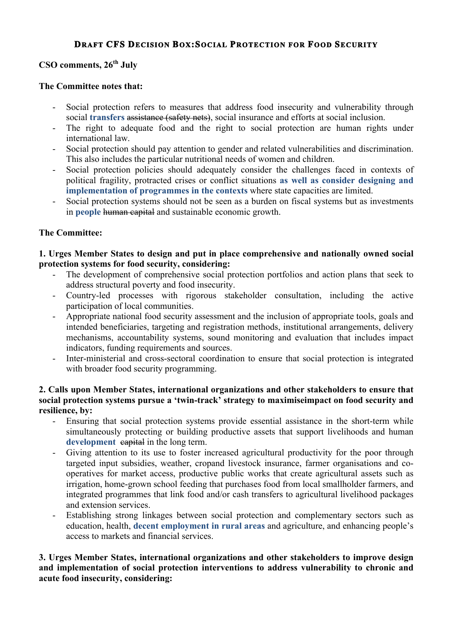# **DRAFT CFS DECISION BOX:SOCIAL PROTECTION FOR FOOD SECURITY**

# **CSO comments, 26th July**

#### **The Committee notes that:**

- Social protection refers to measures that address food insecurity and vulnerability through social **transfers** assistance (safety nets), social insurance and efforts at social inclusion.
- The right to adequate food and the right to social protection are human rights under international law.
- Social protection should pay attention to gender and related vulnerabilities and discrimination. This also includes the particular nutritional needs of women and children.
- Social protection policies should adequately consider the challenges faced in contexts of political fragility, protracted crises or conflict situations **as well as consider designing and implementation of programmes in the contexts** where state capacities are limited.
- Social protection systems should not be seen as a burden on fiscal systems but as investments in **people** human capital and sustainable economic growth.

## **The Committee:**

**1. Urges Member States to design and put in place comprehensive and nationally owned social protection systems for food security, considering:**

- The development of comprehensive social protection portfolios and action plans that seek to address structural poverty and food insecurity.
- Country-led processes with rigorous stakeholder consultation, including the active participation of local communities.
- Appropriate national food security assessment and the inclusion of appropriate tools, goals and intended beneficiaries, targeting and registration methods, institutional arrangements, delivery mechanisms, accountability systems, sound monitoring and evaluation that includes impact indicators, funding requirements and sources.
- Inter-ministerial and cross-sectoral coordination to ensure that social protection is integrated with broader food security programming.

## **2. Calls upon Member States, international organizations and other stakeholders to ensure that social protection systems pursue a 'twin-track' strategy to maximiseimpact on food security and resilience, by:**

- Ensuring that social protection systems provide essential assistance in the short-term while simultaneously protecting or building productive assets that support livelihoods and human development capital in the long term.
- Giving attention to its use to foster increased agricultural productivity for the poor through targeted input subsidies, weather, cropand livestock insurance, farmer organisations and cooperatives for market access, productive public works that create agricultural assets such as irrigation, home-grown school feeding that purchases food from local smallholder farmers, and integrated programmes that link food and/or cash transfers to agricultural livelihood packages and extension services.
- Establishing strong linkages between social protection and complementary sectors such as education, health, **decent employment in rural areas** and agriculture, and enhancing people's access to markets and financial services.

#### **3. Urges Member States, international organizations and other stakeholders to improve design and implementation of social protection interventions to address vulnerability to chronic and acute food insecurity, considering:**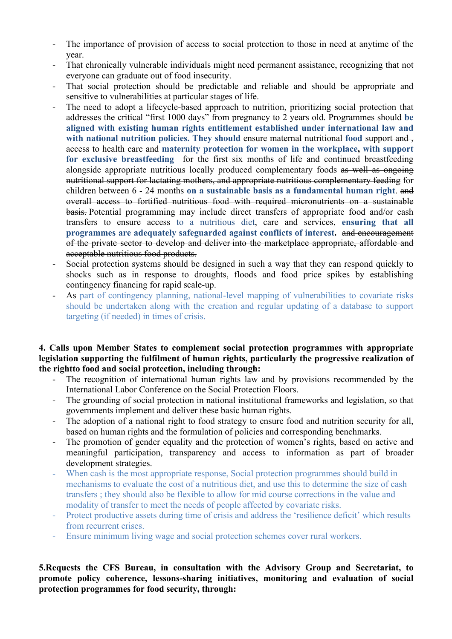- The importance of provision of access to social protection to those in need at anytime of the year.
- That chronically vulnerable individuals might need permanent assistance, recognizing that not everyone can graduate out of food insecurity.
- That social protection should be predictable and reliable and should be appropriate and sensitive to vulnerabilities at particular stages of life.
- The need to adopt a lifecycle-based approach to nutrition, prioritizing social protection that addresses the critical "first 1000 days" from pregnancy to 2 years old. Programmes should **be aligned with existing human rights entitlement established under international law and with national nutrition policies. They should ensure <del>maternal</del> nutritional food support and ...** access to health care and **maternity protection for women in the workplace, with support for exclusive breastfeeding** for the first six months of life and continued breastfeeding alongside appropriate nutritious locally produced complementary foods as well as ongoing nutritional support for lactating mothers, and appropriate nutritious complementary feeding for children between 6 - 24 months **on a sustainable basis as a fundamental human right**. and overall access to fortified nutritious food with required micronutrients on a sustainable basis. Potential programming may include direct transfers of appropriate food and/or cash transfers to ensure access to a nutritious diet, care and services, **ensuring that all programmes are adequately safeguarded against conflicts of interest.** and encouragement of the private sector to develop and deliver into the marketplace appropriate, affordable and acceptable nutritious food products.
- Social protection systems should be designed in such a way that they can respond quickly to shocks such as in response to droughts, floods and food price spikes by establishing contingency financing for rapid scale-up.
- As part of contingency planning, national-level mapping of vulnerabilities to covariate risks should be undertaken along with the creation and regular updating of a database to support targeting (if needed) in times of crisis.

**4. Calls upon Member States to complement social protection programmes with appropriate legislation supporting the fulfilment of human rights, particularly the progressive realization of the rightto food and social protection, including through:**

- The recognition of international human rights law and by provisions recommended by the International Labor Conference on the Social Protection Floors.
- The grounding of social protection in national institutional frameworks and legislation, so that governments implement and deliver these basic human rights.
- The adoption of a national right to food strategy to ensure food and nutrition security for all. based on human rights and the formulation of policies and corresponding benchmarks.
- The promotion of gender equality and the protection of women's rights, based on active and meaningful participation, transparency and access to information as part of broader development strategies.
- When cash is the most appropriate response, Social protection programmes should build in mechanisms to evaluate the cost of a nutritious diet, and use this to determine the size of cash transfers ; they should also be flexible to allow for mid course corrections in the value and modality of transfer to meet the needs of people affected by covariate risks.
- Protect productive assets during time of crisis and address the 'resilience deficit' which results from recurrent crises.
- Ensure minimum living wage and social protection schemes cover rural workers.

**5.Requests the CFS Bureau, in consultation with the Advisory Group and Secretariat, to promote policy coherence, lessons-sharing initiatives, monitoring and evaluation of social protection programmes for food security, through:**